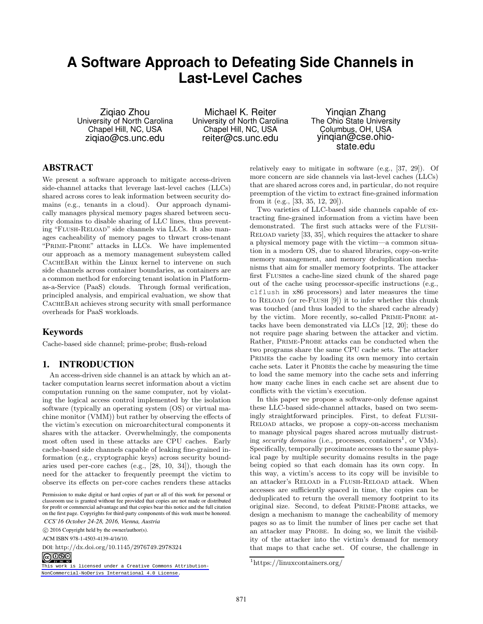# **A Software Approach to Defeating Side Channels in Last-Level Caches**

Zigiao Zhou University of North Carolina Chapel Hill, NC, USA ziqiao@cs.unc.edu

Michael K. Reiter University of North Carolina Chapel Hill, NC, USA reiter@cs.unc.edu

Yinqian Zhang The Ohio State University Columbus, OH, USA yinqian@cse.ohiostate.edu

# ABSTRACT

We present a software approach to mitigate access-driven side-channel attacks that leverage last-level caches (LLCs) shared across cores to leak information between security domains (e.g., tenants in a cloud). Our approach dynamically manages physical memory pages shared between security domains to disable sharing of LLC lines, thus preventing "Flush-Reload" side channels via LLCs. It also manages cacheability of memory pages to thwart cross-tenant "Prime-Probe" attacks in LLCs. We have implemented our approach as a memory management subsystem called CACHEBAR within the Linux kernel to intervene on such side channels across container boundaries, as containers are a common method for enforcing tenant isolation in Platformas-a-Service (PaaS) clouds. Through formal verification, principled analysis, and empirical evaluation, we show that CacheBar achieves strong security with small performance overheads for PaaS workloads.

# Keywords

Cache-based side channel; prime-probe; flush-reload

# 1. INTRODUCTION

An access-driven side channel is an attack by which an attacker computation learns secret information about a victim computation running on the same computer, not by violating the logical access control implemented by the isolation software (typically an operating system (OS) or virtual machine monitor (VMM)) but rather by observing the effects of the victim's execution on microarchitectural components it shares with the attacker. Overwhelmingly, the components most often used in these attacks are CPU caches. Early cache-based side channels capable of leaking fine-grained information (e.g., cryptographic keys) across security boundaries used per-core caches (e.g., [28, 10, 34]), though the need for the attacker to frequently preempt the victim to observe its effects on per-core caches renders these attacks

ACM ISBN 978-1-4503-4139-4/16/10.

DOI: http://dx.doi.org/10.1145/2976749.2978324

**THE WE ADDED**<br>[This work is licensed under a Creative Commons Attribution-](https://creativecommons.org/licenses/by-nc-nd/4.0/)[NonCommercial-NoDerivs International 4.0 License.](https://creativecommons.org/licenses/by-nc-nd/4.0/)

relatively easy to mitigate in software (e.g., [37, 29]). Of more concern are side channels via last-level caches (LLCs) that are shared across cores and, in particular, do not require preemption of the victim to extract fine-grained information from it (e.g., [33, 35, 12, 20]).

Two varieties of LLC-based side channels capable of extracting fine-grained information from a victim have been demonstrated. The first such attacks were of the FLUSH-Reload variety [33, 35], which requires the attacker to share a physical memory page with the victim—a common situation in a modern OS, due to shared libraries, copy-on-write memory management, and memory deduplication mechanisms that aim for smaller memory footprints. The attacker first Flushes a cache-line sized chunk of the shared page out of the cache using processor-specific instructions (e.g., clflush in x86 processors) and later measures the time to RELOAD (or re-FLUSH [9]) it to infer whether this chunk was touched (and thus loaded to the shared cache already) by the victim. More recently, so-called Prime-Probe attacks have been demonstrated via LLCs [12, 20]; these do not require page sharing between the attacker and victim. Rather, Prime-Probe attacks can be conducted when the two programs share the same CPU cache sets. The attacker PRIMES the cache by loading its own memory into certain cache sets. Later it Probes the cache by measuring the time to load the same memory into the cache sets and inferring how many cache lines in each cache set are absent due to conflicts with the victim's execution.

In this paper we propose a software-only defense against these LLC-based side-channel attacks, based on two seemingly straightforward principles. First, to defeat Flush-Reload attacks, we propose a copy-on-access mechanism to manage physical pages shared across mutually distrusting security domains (i.e., processes, containers<sup>1</sup>, or VMs). Specifically, temporally proximate accesses to the same physical page by multiple security domains results in the page being copied so that each domain has its own copy. In this way, a victim's access to its copy will be invisible to an attacker's Reload in a Flush-Reload attack. When accesses are sufficiently spaced in time, the copies can be deduplicated to return the overall memory footprint to its original size. Second, to defeat Prime-Probe attacks, we design a mechanism to manage the cacheability of memory pages so as to limit the number of lines per cache set that an attacker may PROBE. In doing so, we limit the visibility of the attacker into the victim's demand for memory that maps to that cache set. Of course, the challenge in

Permission to make digital or hard copies of part or all of this work for personal or classroom use is granted without fee provided that copies are not made or distributed for profit or commercial advantage and that copies bear this notice and the full citation on the first page. Copyrights for third-party components of this work must be honored.

*CCS'16 October 24-28, 2016, Vienna, Austria* c 2016 Copyright held by the owner/author(s).

 $\bigcirc$  000

<sup>1</sup> https://linuxcontainers.org/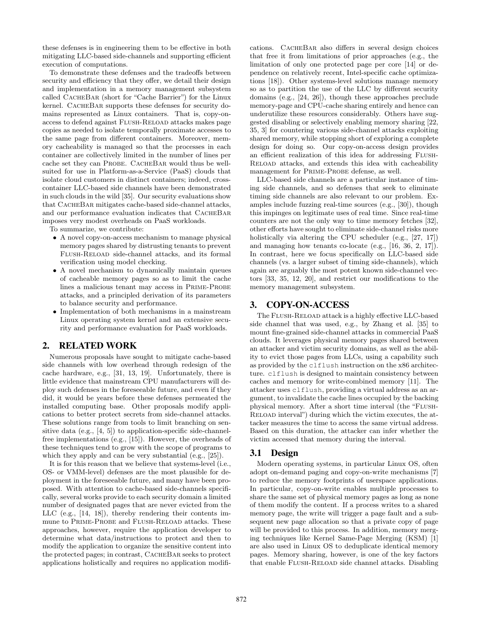these defenses is in engineering them to be effective in both mitigating LLC-based side-channels and supporting efficient execution of computations.

To demonstrate these defenses and the tradeoffs between security and efficiency that they offer, we detail their design and implementation in a memory management subsystem called CacheBar (short for "Cache Barrier") for the Linux kernel. CACHEBAR supports these defenses for security domains represented as Linux containers. That is, copy-onaccess to defend against Flush-Reload attacks makes page copies as needed to isolate temporally proximate accesses to the same page from different containers. Moreover, memory cacheability is managed so that the processes in each container are collectively limited in the number of lines per cache set they can PROBE. CACHEBAR would thus be wellsuited for use in Platform-as-a-Service (PaaS) clouds that isolate cloud customers in distinct containers; indeed, crosscontainer LLC-based side channels have been demonstrated in such clouds in the wild [35]. Our security evaluations show that CACHEBAR mitigates cache-based side-channel attacks, and our performance evaluation indicates that CACHEBAR imposes very modest overheads on PaaS workloads.

To summarize, we contribute:

- A novel copy-on-access mechanism to manage physical memory pages shared by distrusting tenants to prevent Flush-Reload side-channel attacks, and its formal verification using model checking.
- A novel mechanism to dynamically maintain queues of cacheable memory pages so as to limit the cache lines a malicious tenant may access in Prime-Probe attacks, and a principled derivation of its parameters to balance security and performance.
- Implementation of both mechanisms in a mainstream Linux operating system kernel and an extensive security and performance evaluation for PaaS workloads.

# 2. RELATED WORK

Numerous proposals have sought to mitigate cache-based side channels with low overhead through redesign of the cache hardware, e.g., [31, 13, 19]. Unfortunately, there is little evidence that mainstream CPU manufacturers will deploy such defenses in the foreseeable future, and even if they did, it would be years before these defenses permeated the installed computing base. Other proposals modify applications to better protect secrets from side-channel attacks. These solutions range from tools to limit branching on sensitive data (e.g., [4, 5]) to application-specific side-channelfree implementations (e.g., [15]). However, the overheads of these techniques tend to grow with the scope of programs to which they apply and can be very substantial (e.g., [25]).

It is for this reason that we believe that systems-level (i.e., OS- or VMM-level) defenses are the most plausible for deployment in the foreseeable future, and many have been proposed. With attention to cache-based side-channels specifically, several works provide to each security domain a limited number of designated pages that are never evicted from the LLC (e.g., [14, 18]), thereby rendering their contents immune to Prime-Probe and Flush-Reload attacks. These approaches, however, require the application developer to determine what data/instructions to protect and then to modify the application to organize the sensitive content into the protected pages; in contrast, CacheBar seeks to protect applications holistically and requires no application modifications. CacheBar also differs in several design choices that free it from limitations of prior approaches (e.g., the limitation of only one protected page per core [14] or dependence on relatively recent, Intel-specific cache optimizations [18]). Other systems-level solutions manage memory so as to partition the use of the LLC by different security domains (e.g., [24, 26]), though these approaches preclude memory-page and CPU-cache sharing entirely and hence can underutilize these resources considerably. Others have suggested disabling or selectively enabling memory sharing [22, 35, 3] for countering various side-channel attacks exploiting shared memory, while stopping short of exploring a complete design for doing so. Our copy-on-access design provides an efficient realization of this idea for addressing FLUSH-Reload attacks, and extends this idea with cacheability management for Prime-Probe defense, as well.

LLC-based side channels are a particular instance of timing side channels, and so defenses that seek to eliminate timing side channels are also relevant to our problem. Examples include fuzzing real-time sources (e.g., [30]), though this impinges on legitimate uses of real time. Since real-time counters are not the only way to time memory fetches [32], other efforts have sought to eliminate side-channel risks more holistically via altering the CPU scheduler (e.g., [27, 17]) and managing how tenants co-locate (e.g., [16, 36, 2, 17]). In contrast, here we focus specifically on LLC-based side channels (vs. a larger subset of timing side-channels), which again are arguably the most potent known side-channel vectors [33, 35, 12, 20], and restrict our modifications to the memory management subsystem.

# 3. COPY-ON-ACCESS

The Flush-Reload attack is a highly effective LLC-based side channel that was used, e.g., by Zhang et al. [35] to mount fine-grained side-channel attacks in commercial PaaS clouds. It leverages physical memory pages shared between an attacker and victim security domains, as well as the ability to evict those pages from LLCs, using a capability such as provided by the clflush instruction on the x86 architecture. clflush is designed to maintain consistency between caches and memory for write-combined memory [11]. The attacker uses clflush, providing a virtual address as an argument, to invalidate the cache lines occupied by the backing physical memory. After a short time interval (the "Flush-RELOAD interval") during which the victim executes, the attacker measures the time to access the same virtual address. Based on this duration, the attacker can infer whether the victim accessed that memory during the interval.

# 3.1 Design

Modern operating systems, in particular Linux OS, often adopt on-demand paging and copy-on-write mechanisms [7] to reduce the memory footprints of userspace applications. In particular, copy-on-write enables multiple processes to share the same set of physical memory pages as long as none of them modify the content. If a process writes to a shared memory page, the write will trigger a page fault and a subsequent new page allocation so that a private copy of page will be provided to this process. In addition, memory merging techniques like Kernel Same-Page Merging (KSM) [1] are also used in Linux OS to deduplicate identical memory pages. Memory sharing, however, is one of the key factors that enable Flush-Reload side channel attacks. Disabling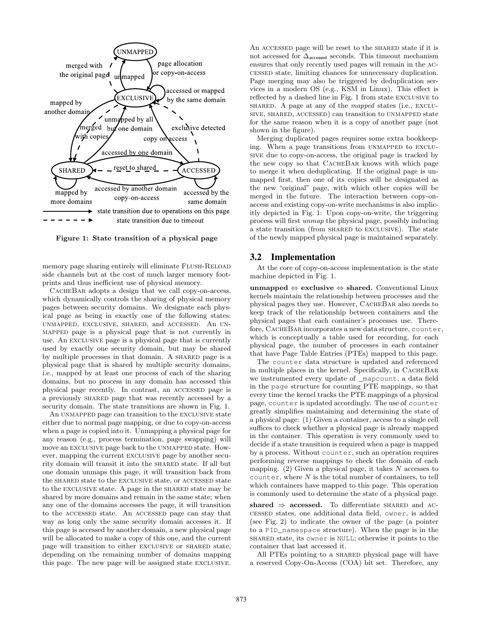

Figure 1: State transition of a physical page

memory page sharing entirely will eliminate FLUSH-RELOAD side channels but at the cost of much larger memory footprints and thus inefficient use of physical memory.

CacheBar adopts a design that we call copy-on-access, which dynamically controls the sharing of physical memory pages between security domains. We designate each physical page as being in exactly one of the following states: unmapped, exclusive, shared, and accessed. An unmapped page is a physical page that is not currently in use. An exclusive page is a physical page that is currently used by exactly one security domain, but may be shared by multiple processes in that domain. A SHARED page is a physical page that is shared by multiple security domains, i.e., mapped by at least one process of each of the sharing domains, but no process in any domain has accessed this physical page recently. In contrast, an accessed page is a previously shared page that was recently accessed by a security domain. The state transitions are shown in Fig. 1.

An UNMAPPED page can transition to the EXCLUSIVE state either due to normal page mapping, or due to copy-on-access when a page is copied into it. Unmapping a physical page for any reason (e.g., process termination, page swapping) will move an EXCLUSIVE page back to the UNMAPPED state. However, mapping the current exclusive page by another security domain will transit it into the SHARED state. If all but one domain unmaps this page, it will transition back from the SHARED state to the EXCLUSIVE state, or ACCESSED state to the EXCLUSIVE state. A page in the SHARED state may be shared by more domains and remain in the same state; when any one of the domains accesses the page, it will transition to the accessed state. An accessed page can stay that way as long only the same security domain accesses it. If this page is accessed by another domain, a new physical page will be allocated to make a copy of this one, and the current page will transition to either EXCLUSIVE or SHARED state, depending on the remaining number of domains mapping this page. The new page will be assigned state EXCLUSIVE.

An ACCESSED page will be reset to the SHARED state if it is not accessed for  $\Delta_{\text{accessed}}$  seconds. This timeout mechanism ensures that only recently used pages will remain in the accessed state, limiting chances for unnecessary duplication. Page merging may also be triggered by deduplication services in a modern OS (e.g., KSM in Linux). This effect is reflected by a dashed line in Fig. 1 from state EXCLUSIVE to SHARED. A page at any of the mapped states (i.e., EXCLUsive, shared, accessed) can transition to unmapped state for the same reason when it is a copy of another page (not shown in the figure).

Merging duplicated pages requires some extra bookkeeping. When a page transitions from UNMAPPED to EXCLUsive due to copy-on-access, the original page is tracked by the new copy so that CACHEBAR knows with which page to merge it when deduplicating. If the original page is unmapped first, then one of its copies will be designated as the new "original" page, with which other copies will be merged in the future. The interaction between copy-onaccess and existing copy-on-write mechanisms is also implicitly depicted in Fig. 1: Upon copy-on-write, the triggering process will first unmap the physical page, possibly inducing a state transition (from SHARED to EXCLUSIVE). The state of the newly mapped physical page is maintained separately.

## 3.2 Implementation

At the core of copy-on-access implementation is the state machine depicted in Fig. 1.

unmapped  $\Leftrightarrow$  exclusive  $\Leftrightarrow$  shared. Conventional Linux kernels maintain the relationship between processes and the physical pages they use. However, CacheBar also needs to keep track of the relationship between containers and the physical pages that each container's processes use. Therefore, CacheBar incorporates a new data structure, counter, which is conceptually a table used for recording, for each physical page, the number of processes in each container that have Page Table Entries (PTEs) mapped to this page.

The counter data structure is updated and referenced in multiple places in the kernel. Specifically, in CACHEBAR we instrumented every update of mapcount, a data field in the page structure for counting PTE mappings, so that every time the kernel tracks the PTE mappings of a physical page, counter is updated accordingly. The use of counter greatly simplifies maintaining and determining the state of a physical page: (1) Given a container, access to a single cell suffices to check whether a physical page is already mapped in the container. This operation is very commonly used to decide if a state transition is required when a page is mapped by a process. Without counter, such an operation requires performing reverse mappings to check the domain of each mapping. (2) Given a physical page, it takes  $N$  accesses to counter, where  $N$  is the total number of containers, to tell which containers have mapped to this page. This operation is commonly used to determine the state of a physical page.

shared  $\Rightarrow$  accessed. To differentiate SHARED and ACcessed states, one additional data field, owner, is added (see Fig. 2) to indicate the owner of the page (a pointer to a PID\_namespace structure). When the page is in the shared state, its owner is NULL; otherwise it points to the container that last accessed it.

All PTEs pointing to a shared physical page will have a reserved Copy-On-Access (COA) bit set. Therefore, any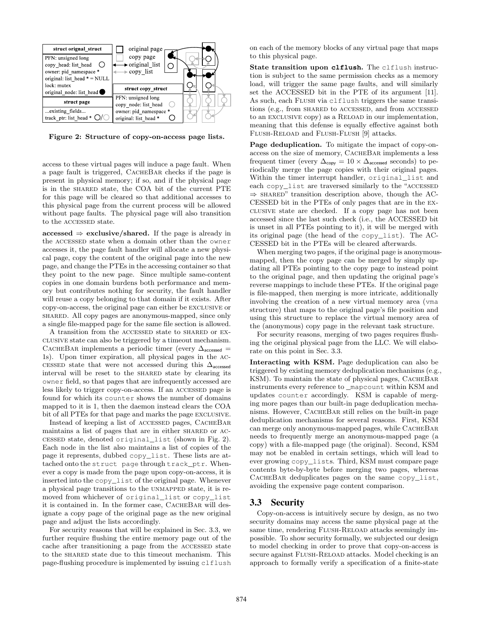

Figure 2: Structure of copy-on-access page lists.

access to these virtual pages will induce a page fault. When a page fault is triggered, CacheBar checks if the page is present in physical memory; if so, and if the physical page is in the shared state, the COA bit of the current PTE for this page will be cleared so that additional accesses to this physical page from the current process will be allowed without page faults. The physical page will also transition to the ACCESSED state.

 $accessed \Rightarrow exclusive/shared.$  If the page is already in the ACCESSED state when a domain other than the owner accesses it, the page fault handler will allocate a new physical page, copy the content of the original page into the new page, and change the PTEs in the accessing container so that they point to the new page. Since multiple same-content copies in one domain burdens both performance and memory but contributes nothing for security, the fault handler will reuse a copy belonging to that domain if it exists. After copy-on-access, the original page can either be exclusive or shared. All copy pages are anonymous-mapped, since only a single file-mapped page for the same file section is allowed.

A transition from the ACCESSED state to SHARED or EXclusive state can also be triggered by a timeout mechanism. CACHEBAR implements a periodic timer (every  $\Delta_{\text{accessed}} =$ 1s). Upon timer expiration, all physical pages in the ac-CESSED state that were not accessed during this  $\Delta$ <sub>accessed</sub> interval will be reset to the SHARED state by clearing its owner field, so that pages that are infrequently accessed are less likely to trigger copy-on-access. If an accessed page is found for which its counter shows the number of domains mapped to it is 1, then the daemon instead clears the COA bit of all PTEs for that page and marks the page EXCLUSIVE.

Instead of keeping a list of accessed pages, CacheBar maintains a list of pages that are in either SHARED or ACcessed state, denoted original\_list (shown in Fig. 2). Each node in the list also maintains a list of copies of the page it represents, dubbed copy\_list. These lists are attached onto the struct page through track\_ptr. Whenever a copy is made from the page upon copy-on-access, it is inserted into the copy\_list of the original page. Whenever a physical page transitions to the unmapped state, it is removed from whichever of original\_list or copy\_list it is contained in. In the former case, CACHEBAR will designate a copy page of the original page as the new original page and adjust the lists accordingly.

For security reasons that will be explained in Sec. 3.3, we further require flushing the entire memory page out of the cache after transitioning a page from the ACCESSED state to the SHARED state due to this timeout mechanism. This page-flushing procedure is implemented by issuing clflush on each of the memory blocks of any virtual page that maps to this physical page.

State transition upon **clflush**. The clflush instruction is subject to the same permission checks as a memory load, will trigger the same page faults, and will similarly set the ACCESSED bit in the PTE of its argument [11]. As such, each Flush via clflush triggers the same transitions (e.g., from SHARED to ACCESSED, and from ACCESSED to an EXCLUSIVE copy) as a RELOAD in our implementation, meaning that this defense is equally effective against both Flush-Reload and Flush-Flush [9] attacks.

Page deduplication. To mitigate the impact of copy-onaccess on the size of memory, CACHEBAR implements a less frequent timer (every  $\Delta_{\text{copy}} = 10 \times \Delta_{\text{accessed}}$  seconds) to periodically merge the page copies with their original pages. Within the timer interrupt handler, original\_list and each copy\_list are traversed similarly to the "accessed  $\Rightarrow$  SHARED" transition description above, though the AC-CESSED bit in the PTEs of only pages that are in the exclusive state are checked. If a copy page has not been accessed since the last such check (i.e., the ACCESSED bit is unset in all PTEs pointing to it), it will be merged with its original page (the head of the copy\_list). The AC-CESSED bit in the PTEs will be cleared afterwards.

When merging two pages, if the original page is anonymousmapped, then the copy page can be merged by simply updating all PTEs pointing to the copy page to instead point to the original page, and then updating the original page's reverse mappings to include these PTEs. If the original page is file-mapped, then merging is more intricate, additionally involving the creation of a new virtual memory area (vma structure) that maps to the original page's file position and using this structure to replace the virtual memory area of the (anonymous) copy page in the relevant task structure.

For security reasons, merging of two pages requires flushing the original physical page from the LLC. We will elaborate on this point in Sec. 3.3.

Interacting with KSM. Page deduplication can also be triggered by existing memory deduplication mechanisms (e.g., KSM). To maintain the state of physical pages, CACHEBAR instruments every reference to \_mapcount within KSM and updates counter accordingly. KSM is capable of merging more pages than our built-in page deduplication mechanisms. However, CacheBar still relies on the built-in page deduplication mechanisms for several reasons. First, KSM can merge only anonymous-mapped pages, while CACHEBAR needs to frequently merge an anonymous-mapped page (a copy) with a file-mapped page (the original). Second, KSM may not be enabled in certain settings, which will lead to ever growing copy\_lists. Third, KSM must compare page contents byte-by-byte before merging two pages, whereas CACHEBAR deduplicates pages on the same copy\_list, avoiding the expensive page content comparison.

## 3.3 Security

Copy-on-access is intuitively secure by design, as no two security domains may access the same physical page at the same time, rendering FLUSH-RELOAD attacks seemingly impossible. To show security formally, we subjected our design to model checking in order to prove that copy-on-access is secure against FLUSH-RELOAD attacks. Model checking is an approach to formally verify a specification of a finite-state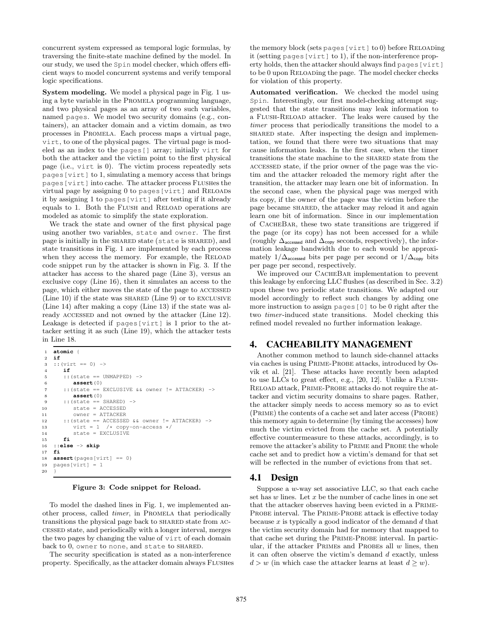concurrent system expressed as temporal logic formulas, by traversing the finite-state machine defined by the model. In our study, we used the Spin model checker, which offers efficient ways to model concurrent systems and verify temporal logic specifications.

System modeling. We model a physical page in Fig. 1 using a byte variable in the Promela programming language, and two physical pages as an array of two such variables, named pages. We model two security domains (e.g., containers), an attacker domain and a victim domain, as two processes in Promela. Each process maps a virtual page, virt, to one of the physical pages. The virtual page is modeled as an index to the pages[] array; initially virt for both the attacker and the victim point to the first physical page (i.e., virt is 0). The victim process repeatedly sets pages[virt] to 1, simulating a memory access that brings pages[virt] into cache. The attacker process Flushes the virtual page by assigning 0 to pages [virt] and RELOADs it by assigning 1 to pages[virt] after testing if it already equals to 1. Both the FLUSH and RELOAD operations are modeled as atomic to simplify the state exploration.

We track the state and owner of the first physical page using another two variables, state and owner. The first page is initially in the SHARED state (state is SHARED), and state transitions in Fig. 1 are implemented by each process when they access the memory. For example, the RELOAD code snippet run by the attacker is shown in Fig. 3. If the attacker has access to the shared page (Line 3), versus an exclusive copy (Line 16), then it simulates an access to the page, which either moves the state of the page to ACCESSED (Line 10) if the state was SHARED (Line 9) or to EXCLUSIVE (Line 14) after making a copy (Line 13) if the state was already ACCESSED and not owned by the attacker (Line 12). Leakage is detected if pages[virt] is 1 prior to the attacker setting it as such (Line 19), which the attacker tests in Line 18.

```
1 atomic {
2 if<br>3 ::
   ::(virt == 0) ->4 if
      :: (state == UNMAPPED) ->
6 assert(0)
7 ::(state == EXCLUSIVE && owner != ATTACKER) ->
8 assert(0)
9:: (state == SHARED) ->
10 state = ACCESSED
11 owner = ATTACKER
12 ::(state == ACCESSED && owner != ATTACKER) ->
13 \text{virt} = 1 \neq \text{copy-on-access} \neq 14<br>14 \text{state} = \text{EXCLUSIVE}state = EXCLUSIVE15 fi
16 ::else -> skip
17 fi
18 assert(pages[virt] == 0)
19 pages[virt] = 1
20
```
Figure 3: Code snippet for Reload.

To model the dashed lines in Fig. 1, we implemented another process, called timer, in Promela that periodically transitions the physical page back to SHARED state from ACcessed state, and periodically with a longer interval, merges the two pages by changing the value of virt of each domain back to 0, owner to none, and state to SHARED.

The security specification is stated as a non-interference property. Specifically, as the attacker domain always Flushes the memory block (sets pages [virt] to 0) before RELOADing it (setting pages[virt] to 1), if the non-interference property holds, then the attacker should always find pages [virt] to be 0 upon Reloading the page. The model checker checks for violation of this property.

Automated verification. We checked the model using Spin. Interestingly, our first model-checking attempt suggested that the state transitions may leak information to a Flush-Reload attacker. The leaks were caused by the timer process that periodically transitions the model to a SHARED state. After inspecting the design and implementation, we found that there were two situations that may cause information leaks. In the first case, when the timer transitions the state machine to the SHARED state from the accessed state, if the prior owner of the page was the victim and the attacker reloaded the memory right after the transition, the attacker may learn one bit of information. In the second case, when the physical page was merged with its copy, if the owner of the page was the victim before the page became SHARED, the attacker may reload it and again learn one bit of information. Since in our implementation of CacheBar, these two state transitions are triggered if the page (or its copy) has not been accessed for a while (roughly  $\Delta_{\text{accessed}}$  and  $\Delta_{\text{copy}}$  seconds, respectively), the information leakage bandwidth due to each would be approximately  $1/\Delta_{\text{accessed}}$  bits per page per second or  $1/\Delta_{\text{copy}}$  bits per page per second, respectively.

We improved our CACHEBAR implementation to prevent this leakage by enforcing LLC flushes (as described in Sec. 3.2) upon these two periodic state transitions. We adapted our model accordingly to reflect such changes by adding one more instruction to assign pages[0] to be 0 right after the two timer-induced state transitions. Model checking this refined model revealed no further information leakage.

# 4. CACHEABILITY MANAGEMENT

Another common method to launch side-channel attacks via caches is using Prime-Probe attacks, introduced by Osvik et al. [21]. These attacks have recently been adapted to use LLCs to great effect, e.g.,  $[20, 12]$ . Unlike a FLUSH-Reload attack, Prime-Probe attacks do not require the attacker and victim security domains to share pages. Rather, the attacker simply needs to access memory so as to evict (Prime) the contents of a cache set and later access (Probe) this memory again to determine (by timing the accesses) how much the victim evicted from the cache set. A potentially effective countermeasure to these attacks, accordingly, is to remove the attacker's ability to PRIME and PROBE the whole cache set and to predict how a victim's demand for that set will be reflected in the number of evictions from that set.

## 4.1 Design

Suppose a  $w$ -way set associative LLC, so that each cache set has  $w$  lines. Let  $x$  be the number of cache lines in one set that the attacker observes having been evicted in a Prime-PROBE interval. The PRIME-PROBE attack is effective today because  $x$  is typically a good indicator of the demand  $d$  that the victim security domain had for memory that mapped to that cache set during the Prime-Probe interval. In particular, if the attacker PRIMEs and PROBES all  $w$  lines, then it can often observe the victim's demand d exactly, unless  $d > w$  (in which case the attacker learns at least  $d \geq w$ ).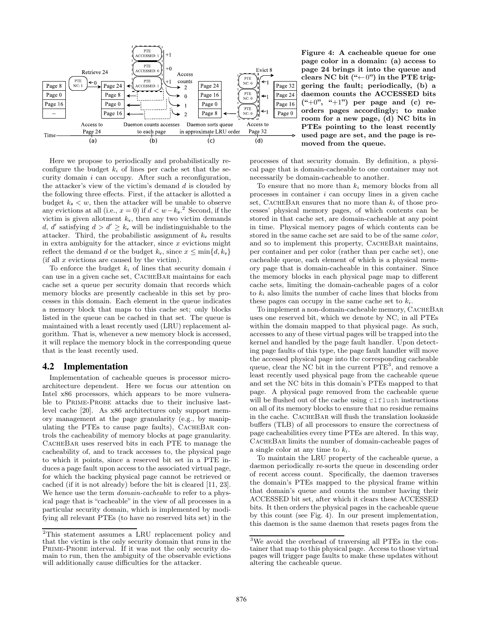

Here we propose to periodically and probabilistically reconfigure the budget  $k_i$  of lines per cache set that the security domain  $i$  can occupy. After such a reconfiguration, the attacker's view of the victim's demand  $d$  is clouded by the following three effects. First, if the attacker is allotted a budget  $k_a < w$ , then the attacker will be unable to observe any evictions at all (i.e.,  $x = 0$ ) if  $d < w - k_a$ <sup>2</sup> Second, if the victim is given allotment  $k_v$ , then any two victim demands d, d' satisfying  $d > d' \geq k_{v}$  will be indistinguishable to the attacker. Third, the probabilistic assignment of  $k_{v}$  results in extra ambiguity for the attacker, since  $x$  evictions might reflect the demand d or the budget  $k_{v}$ , since  $x \leq \min\{d, k_{v}\}\$ (if all  $x$  evictions are caused by the victim).

To enforce the budget  $k_i$  of lines that security domain i can use in a given cache set, CACHEBAR maintains for each cache set a queue per security domain that records which memory blocks are presently cacheable in this set by processes in this domain. Each element in the queue indicates a memory block that maps to this cache set; only blocks listed in the queue can be cached in that set. The queue is maintained with a least recently used (LRU) replacement algorithm. That is, whenever a new memory block is accessed, it will replace the memory block in the corresponding queue that is the least recently used.

### 4.2 Implementation

Implementation of cacheable queues is processor microarchitecture dependent. Here we focus our attention on Intel x86 processors, which appears to be more vulnerable to Prime-Probe attacks due to their inclusive lastlevel cache [20]. As x86 architectures only support memory management at the page granularity (e.g., by manipulating the PTEs to cause page faults), CacheBar controls the cacheability of memory blocks at page granularity. CACHEBAR uses reserved bits in each PTE to manage the cacheability of, and to track accesses to, the physical page to which it points, since a reserved bit set in a PTE induces a page fault upon access to the associated virtual page, for which the backing physical page cannot be retrieved or cached (if it is not already) before the bit is cleared [11, 23]. We hence use the term *domain-cacheable* to refer to a physical page that is "cacheable" in the view of all processes in a particular security domain, which is implemented by modifying all relevant PTEs (to have no reserved bits set) in the

Figure 4: A cacheable queue for one page color in a domain: (a) access to page 24 brings it into the queue and clears NC bit (" $\leftarrow$ 0") in the PTE triggering the fault; periodically, (b) a daemon counts the ACCESSED bits  $(*+0", *+1")$  per page and (c) reorders pages accordingly; to make room for a new page, (d) NC bits in PTEs pointing to the least recently used page are set, and the page is removed from the queue.

processes of that security domain. By definition, a physical page that is domain-cacheable to one container may not necessarily be domain-cacheable to another.

To ensure that no more than  $k_i$  memory blocks from all processes in container  $i$  can occupy lines in a given cache set, CACHEBAR ensures that no more than  $k_i$  of those processes' physical memory pages, of which contents can be stored in that cache set, are domain-cacheable at any point in time. Physical memory pages of which contents can be stored in the same cache set are said to be of the same color, and so to implement this property, CACHEBAR maintains, per container and per color (rather than per cache set), one cacheable queue, each element of which is a physical memory page that is domain-cacheable in this container. Since the memory blocks in each physical page map to different cache sets, limiting the domain-cacheable pages of a color to  $k_i$  also limits the number of cache lines that blocks from these pages can occupy in the same cache set to  $k_i$ .

To implement a non-domain-cacheable memory, CACHEBAR uses one reserved bit, which we denote by NC, in all PTEs within the domain mapped to that physical page. As such, accesses to any of these virtual pages will be trapped into the kernel and handled by the page fault handler. Upon detecting page faults of this type, the page fault handler will move the accessed physical page into the corresponding cacheable queue, clear the NC bit in the current  $PTE^3$ , and remove a least recently used physical page from the cacheable queue and set the NC bits in this domain's PTEs mapped to that page. A physical page removed from the cacheable queue will be flushed out of the cache using clflush instructions on all of its memory blocks to ensure that no residue remains in the cache. CACHEBAR will flush the translation lookaside buffers (TLB) of all processors to ensure the correctness of page cacheabilities every time PTEs are altered. In this way, CacheBar limits the number of domain-cacheable pages of a single color at any time to  $k_i$ .

To maintain the LRU property of the cacheable queue, a daemon periodically re-sorts the queue in descending order of recent access count. Specifically, the daemon traverses the domain's PTEs mapped to the physical frame within that domain's queue and counts the number having their ACCESSED bit set, after which it clears these ACCESSED bits. It then orders the physical pages in the cacheable queue by this count (see Fig. 4). In our present implementation, this daemon is the same daemon that resets pages from the

<sup>2</sup>This statement assumes a LRU replacement policy and that the victim is the only security domain that runs in the PRIME-PROBE interval. If it was not the only security domain to run, then the ambiguity of the observable evictions will additionally cause difficulties for the attacker.

<sup>3</sup>We avoid the overhead of traversing all PTEs in the container that map to this physical page. Access to those virtual pages will trigger page faults to make these updates without altering the cacheable queue.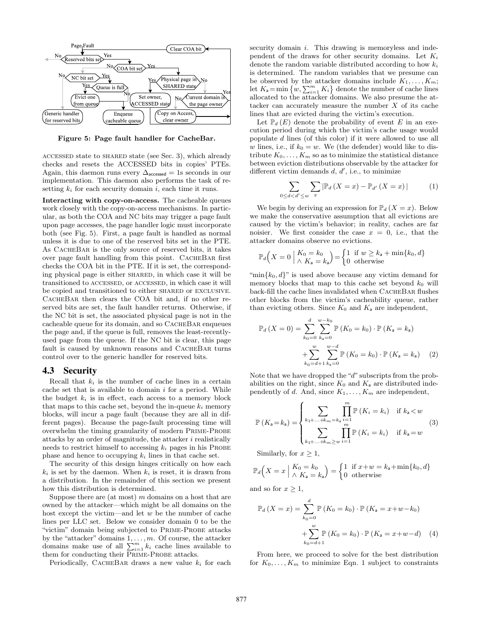

Figure 5: Page fault handler for CacheBar.

ACCESSED state to SHARED state (see Sec. 3), which already checks and resets the ACCESSED bits in copies' PTEs. Again, this daemon runs every  $\Delta_{\text{accessed}} = 1$ s seconds in our implementation. This daemon also performs the task of resetting  $k_i$  for each security domain i, each time it runs.

Interacting with copy-on-access. The cacheable queues work closely with the copy-on-access mechanisms. In particular, as both the COA and NC bits may trigger a page fault upon page accesses, the page handler logic must incorporate both (see Fig. 5). First, a page fault is handled as normal unless it is due to one of the reserved bits set in the PTE. As CACHEBAR is the only source of reserved bits, it takes over page fault handling from this point. CacheBar first checks the COA bit in the PTE. If it is set, the corresponding physical page is either shared, in which case it will be transitioned to accessed, or accessed, in which case it will be copied and transitioned to either SHARED or EXCLUSIVE. CacheBar then clears the COA bit and, if no other reserved bits are set, the fault handler returns. Otherwise, if the NC bit is set, the associated physical page is not in the cacheable queue for its domain, and so CacheBar enqueues the page and, if the queue is full, removes the least-recentlyused page from the queue. If the NC bit is clear, this page fault is caused by unknown reasons and CACHEBAR turns control over to the generic handler for reserved bits.

#### 4.3 Security

Recall that  $k_i$  is the number of cache lines in a certain cache set that is available to domain  $i$  for a period. While the budget  $k_i$  is in effect, each access to a memory block that maps to this cache set, beyond the in-queue  $k_i$  memory blocks, will incur a page fault (because they are all in different pages). Because the page-fault processing time will overwhelm the timing granularity of modern Prime-Probe attacks by an order of magnitude, the attacker i realistically needs to restrict himself to accessing  $k_i$  pages in his PROBE phase and hence to occupying  $k_i$  lines in that cache set.

The security of this design hinges critically on how each  $k_i$  is set by the daemon. When  $k_i$  is reset, it is drawn from a distribution. In the remainder of this section we present how this distribution is determined.

Suppose there are (at most)  $m$  domains on a host that are owned by the attacker—which might be all domains on the host except the victim—and let  $w$  be the number of cache lines per LLC set. Below we consider domain 0 to be the "victim" domain being subjected to Prime-Probe attacks by the "attacker" domains  $1, \ldots, m$ . Of course, the attacker domains make use of all  $\sum_{i=1}^{m} k_i$  cache lines available to them for conducting their PRIME-PROBE attacks.

Periodically, CACHEBAR draws a new value  $k_i$  for each

security domain *i*. This drawing is memoryless and independent of the draws for other security domains. Let  $K_i$ denote the random variable distributed according to how  $k_i$ is determined. The random variables that we presume can be observed by the attacker domains include  $K_1, \ldots, K_m$ ; let  $K_{\mathsf{a}} = \min \left\{ w, \sum_{i=1}^{m} K_i \right\}$  denote the number of cache lines allocated to the attacker domains. We also presume the attacker can accurately measure the number  $X$  of its cache lines that are evicted during the victim's execution.

Let  $\mathbb{P}_d(E)$  denote the probability of event E in an execution period during which the victim's cache usage would populate d lines (of this color) if it were allowed to use all w lines, i.e., if  $k_0 = w$ . We (the defender) would like to distribute  $K_0, \ldots, K_m$  so as to minimize the statistical distance between eviction distributions observable by the attacker for different victim demands  $d, d'$ , i.e., to minimize

$$
\sum_{0 \le d < d' \le w} \sum_{x} |\mathbb{P}_d(X = x) - \mathbb{P}_{d'}(X = x)| \tag{1}
$$

We begin by deriving an expression for  $\mathbb{P}_d$   $(X = x)$ . Below we make the conservative assumption that all evictions are caused by the victim's behavior; in reality, caches are far noisier. We first consider the case  $x = 0$ , i.e., that the attacker domains observe no evictions.

$$
\mathbb{P}_d\left(X=0\bigm| \begin{matrix}K_0=k_0\\ \wedge K_a=k_a\end{matrix}\right) = \begin{cases}1 \text{ if } w \ge k_a + \min\{k_0, d\}\\0 \text{ otherwise}\end{cases}
$$

"min ${k_0, d}$ " is used above because any victim demand for memory blocks that map to this cache set beyond  $k_0$  will back-fill the cache lines invalidated when CACHEBAR flushes other blocks from the victim's cacheability queue, rather than evicting others. Since  $K_0$  and  $K_a$  are independent,

$$
\mathbb{P}_d(X = 0) = \sum_{k_0=0}^d \sum_{k_a=0}^{w-k_0} \mathbb{P}\left(K_0 = k_0\right) \cdot \mathbb{P}\left(K_a = k_a\right) + \sum_{k_0=d+1}^w \sum_{k_a=0}^{w-d} \mathbb{P}\left(K_0 = k_0\right) \cdot \mathbb{P}\left(K_a = k_a\right) \tag{2}
$$

Note that we have dropped the "d" subscripts from the probabilities on the right, since  $K_0$  and  $K_a$  are distributed independently of d. And, since  $K_1, \ldots, K_m$  are independent,

$$
\mathbb{P}\left(K_a = k_a\right) = \begin{cases} \sum_{k_1 + \dots + k_m = k_a} \prod_{i=1}^m \mathbb{P}\left(K_i = k_i\right) & \text{if } k_a < w \\ \sum_{k_1 + \dots + k_m \ge w} \prod_{i=1}^m \mathbb{P}\left(K_i = k_i\right) & \text{if } k_a = w \end{cases} \tag{3}
$$

Similarly, for  $x \geq 1$ ,

$$
\mathbb{P}_d\Big(X = x \mid \begin{matrix} K_0 = k_0 \\ \wedge K_a = k_a \end{matrix} \Big) = \begin{cases} 1 & \text{if } x + w = k_a + \min\{k_0, d\} \\ 0 & \text{otherwise} \end{cases}
$$

and so for  $x \geq 1$ ,

$$
\mathbb{P}_d(X = x) = \sum_{k_0=0}^d \mathbb{P}(K_0 = k_0) \cdot \mathbb{P}(K_a = x + w - k_0)
$$

$$
+ \sum_{k_0=d+1}^w \mathbb{P}(K_0 = k_0) \cdot \mathbb{P}(K_a = x + w - d) \quad (4)
$$

From here, we proceed to solve for the best distribution for  $K_0, \ldots, K_m$  to minimize Eqn. 1 subject to constraints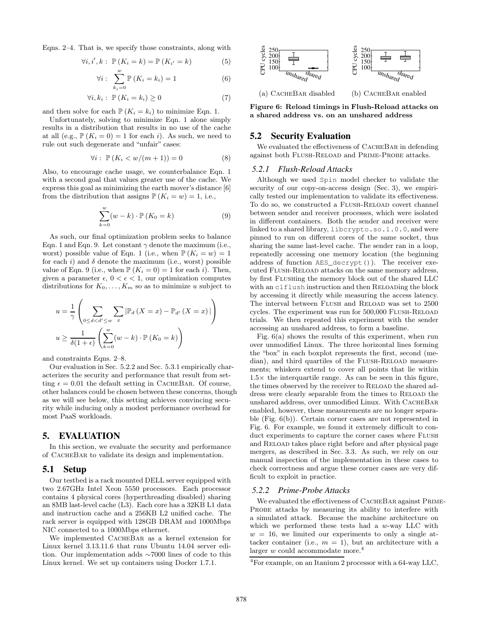Eqns. 2–4. That is, we specify those constraints, along with

$$
\forall i, i', k: \mathbb{P}\left(K_i = k\right) = \mathbb{P}\left(K_{i'} = k\right) \tag{5}
$$

$$
\forall i: \sum_{k_i=0} \mathbb{P}\left(K_i = k_i\right) = 1 \tag{6}
$$

$$
\forall i, k_i: \mathbb{P}\left(K_i = k_i\right) \ge 0\tag{7}
$$

and then solve for each  $\mathbb{P}(K_i = k_i)$  to minimize Eqn. 1.

Unfortunately, solving to minimize Eqn. 1 alone simply results in a distribution that results in no use of the cache at all (e.g.,  $\mathbb{P}(K_i = 0) = 1$  for each i). As such, we need to rule out such degenerate and "unfair" cases:

$$
\forall i: \mathbb{P}\left(K_i < w/(m+1)\right) = 0\tag{8}
$$

Also, to encourage cache usage, we counterbalance Eqn. 1 with a second goal that values greater use of the cache. We express this goal as minimizing the earth mover's distance [6] from the distribution that assigns  $\mathbb{P}(K_i = w) = 1$ , i.e.,

$$
\sum_{k=0}^{w} (w - k) \cdot \mathbb{P}(K_0 = k)
$$
\n(9)

As such, our final optimization problem seeks to balance Eqn. 1 and Eqn. 9. Let constant  $\gamma$  denote the maximum (i.e., worst) possible value of Eqn. 1 (i.e., when  $\mathbb{P}(K_i = w) = 1$ for each i) and  $\delta$  denote the maximum (i.e., worst) possible value of Eqn. 9 (i.e., when  $\mathbb{P}(K_i = 0) = 1$  for each i). Then, given a parameter  $\epsilon$ ,  $0 < \epsilon < 1$ , our optimization computes distributions for  $K_0, \ldots, K_m$  so as to minimize u subject to

$$
u = \frac{1}{\gamma} \left( \sum_{0 \le d < d' \le w} \sum_{x} |\mathbb{P}_d(X = x) - \mathbb{P}_{d'}(X = x)| \right)
$$
\n
$$
u \ge \frac{1}{\delta(1 + \epsilon)} \left( \sum_{k=0}^w (w - k) \cdot \mathbb{P}(K_0 = k) \right)
$$

and constraints Eqns. 2–8.

Our evaluation in Sec. 5.2.2 and Sec. 5.3.1 empirically characterizes the security and performance that result from setting  $\epsilon = 0.01$  the default setting in CACHEBAR. Of course, other balances could be chosen between these concerns, though as we will see below, this setting achieves convincing security while inducing only a modest performance overhead for most PaaS workloads.

## 5. EVALUATION

In this section, we evaluate the security and performance of CacheBar to validate its design and implementation.

## 5.1 Setup

Our testbed is a rack mounted DELL server equipped with two 2.67GHz Intel Xeon 5550 processors. Each processor contains 4 physical cores (hyperthreading disabled) sharing an 8MB last-level cache (L3). Each core has a 32KB L1 data and instruction cache and a 256KB L2 unified cache. The rack server is equipped with 128GB DRAM and 1000Mbps NIC connected to a 1000Mbps ethernet.

We implemented CACHEBAR as a kernel extension for Linux kernel 3.13.11.6 that runs Ubuntu 14.04 server edition. Our implementation adds ∼7000 lines of code to this Linux kernel. We set up containers using Docker 1.7.1.



Figure 6: Reload timings in Flush-Reload attacks on a shared address vs. on an unshared address

## 5.2 Security Evaluation

We evaluated the effectiveness of CACHEBAR in defending against both Flush-Reload and Prime-Probe attacks.

#### *5.2.1 Flush-Reload Attacks*

Although we used Spin model checker to validate the security of our copy-on-access design (Sec. 3), we empirically tested our implementation to validate its effectiveness. To do so, we constructed a FLUSH-RELOAD covert channel between sender and receiver processes, which were isolated in different containers. Both the sender and receiver were linked to a shared library, libcrypto.so.1.0.0, and were pinned to run on different cores of the same socket, thus sharing the same last-level cache. The sender ran in a loop, repeatedly accessing one memory location (the beginning address of function AES\_decrypt()). The receiver executed Flush-Reload attacks on the same memory address, by first Flushing the memory block out of the shared LLC with an clflush instruction and then RELOADing the block by accessing it directly while measuring the access latency. The interval between FLUSH and RELOAD was set to 2500 cycles. The experiment was run for 500,000 FLUSH-RELOAD trials. We then repeated this experiment with the sender accessing an unshared address, to form a baseline.

Fig. 6(a) shows the results of this experiment, when run over unmodified Linux. The three horizontal lines forming the "box" in each boxplot represents the first, second (median), and third quartiles of the FLUSH-RELOAD measurements; whiskers extend to cover all points that lie within  $1.5\times$  the interquartile range. As can be seen in this figure, the times observed by the receiver to RELOAD the shared address were clearly separable from the times to RELOAD the unshared address, over unmodified Linux. With CACHEBAR enabled, however, these measurements are no longer separable (Fig. 6(b)). Certain corner cases are not represented in Fig. 6. For example, we found it extremely difficult to conduct experiments to capture the corner cases where FLUSH and RELOAD takes place right before and after physical page mergers, as described in Sec. 3.3. As such, we rely on our manual inspection of the implementation in these cases to check correctness and argue these corner cases are very difficult to exploit in practice.

## *5.2.2 Prime-Probe Attacks*

We evaluated the effectiveness of CACHEBAR against PRIME-PROBE attacks by measuring its ability to interfere with a simulated attack. Because the machine architecture on which we performed these tests had a w-way LLC with  $w = 16$ , we limited our experiments to only a single attacker container (i.e.,  $m = 1$ ), but an architecture with a larger  $w$  could accommodate more.<sup>4</sup>

<sup>4</sup>For example, on an Itanium 2 processor with a 64-way LLC,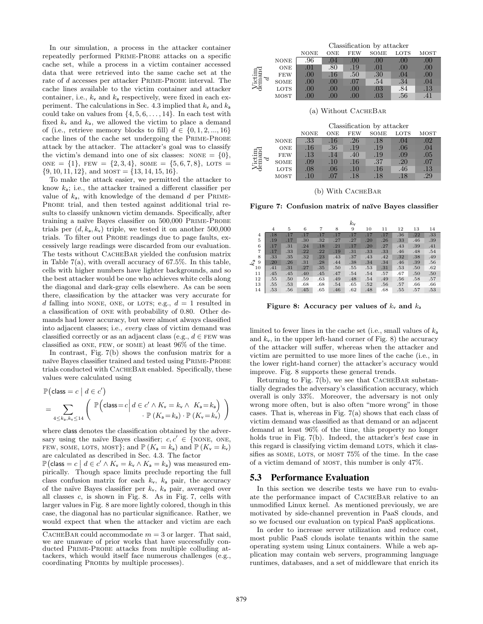In our simulation, a process in the attacker container repeatedly performed Prime-Probe attacks on a specific cache set, while a process in a victim container accessed data that were retrieved into the same cache set at the rate of d accesses per attacker Prime-Probe interval. The cache lines available to the victim container and attacker container, i.e.,  $k_v$  and  $k_a$  respectively, were fixed in each experiment. The calculations in Sec. 4.3 implied that  $k_{\nu}$  and  $k_{\mathsf{a}}$ could take on values from  $\{4, 5, 6, \ldots, 14\}$ . In each test with fixed  $k_v$  and  $k_a$ , we allowed the victim to place a demand of (i.e., retrieve memory blocks to fill)  $d \in \{0, 1, 2, ..., 16\}$ cache lines of the cache set undergoing the Prime-Probe attack by the attacker. The attacker's goal was to classify the victim's demand into one of six classes: NONE =  $\{0\}$ ,  $ONE = \{1\}$ , FEW =  $\{2, 3, 4\}$ , SOME =  $\{5, 6, 7, 8\}$ , LOTS =  $\{9, 10, 11, 12\}$ , and  $MOST = \{13, 14, 15, 16\}$ .

To make the attack easier, we permitted the attacker to know  $k_a$ ; i.e., the attacker trained a different classifier per value of  $k_a$ , with knowledge of the demand d per PRIME-PROBE trial, and then tested against additional trial results to classify unknown victim demands. Specifically, after training a naïve Bayes classifier on 500,000 PRIME-PROBE trials per  $(d, k_a, k_v)$  triple, we tested it on another 500,000 trials. To filter out PROBE readings due to page faults, excessively large readings were discarded from our evaluation. The tests without CACHEBAR vielded the confusion matrix in Table  $7(a)$ , with overall accuracy of 67.5%. In this table, cells with higher numbers have lighter backgrounds, and so the best attacker would be one who achieves white cells along the diagonal and dark-gray cells elsewhere. As can be seen there, classification by the attacker was very accurate for d falling into NONE, ONE, or LOTS; e.g.,  $d = 1$  resulted in a classification of one with probability of 0.80. Other demands had lower accuracy, but were almost always classified into adjacent classes; i.e., every class of victim demand was classified correctly or as an adjacent class (e.g.,  $d \in$  FEW was classified as one, few, or some) at least 96% of the time.

In contrast, Fig. 7(b) shows the confusion matrix for a naïve Bayes classifier trained and tested using PRIME-PROBE trials conducted with CACHEBAR enabled. Specifically, these values were calculated using

$$
\mathbb{P}(\text{class} = c \mid d \in c')
$$
\n
$$
= \sum_{4 \le k_a, k_v \le 14} \left( \mathbb{P}(\text{class} = c \mid d \in c' \land K_v = k_v \land K_a = k_a) \right)
$$
\n
$$
\mathbb{P}(K_a = k_a) \cdot \mathbb{P}(K_v = k_v) \right)
$$

where class denotes the classification obtained by the adversary using the naïve Bayes classifier;  $c, c' \in \{\text{None}, \text{ONE},\}$ FEW, SOME, LOTS, MOST}; and  $\mathbb{P}(K_a = k_a)$  and  $\mathbb{P}(K_v = k_v)$ are calculated as described in Sec. 4.3. The factor

 $\mathbb{P}(\text{class} = c \mid d \in c' \land K_v = k_v \land K_a = k_a)$  was measured em-<br>which the Thomas move limits models are other that follows pirically. Though space limits preclude reporting the full class confusion matrix for each  $k_v$ ,  $k_a$  pair, the accuracy of the naïve Bayes classifier per  $k_v$ ,  $k_a$  pair, averaged over all classes c, is shown in Fig. 8. As in Fig. 7, cells with larger values in Fig. 8 are more lightly colored, though in this case, the diagonal has no particular significance. Rather, we would expect that when the attacker and victim are each

|             |             | Classification by attacker                              |     |     |     |     |     |  |  |
|-------------|-------------|---------------------------------------------------------|-----|-----|-----|-----|-----|--|--|
|             |             | <b>LOTS</b><br>SOME<br><b>NONE</b><br>ONE<br><b>FEW</b> |     |     |     |     |     |  |  |
| Sen<br>Next | <b>NONE</b> | .96                                                     |     |     |     |     |     |  |  |
|             | ONE         | $.01\,$                                                 | .80 | .19 | .01 | .00 | .00 |  |  |
|             | <b>FEW</b>  | .00                                                     | .16 | .50 | .30 | .04 | .00 |  |  |
|             | SOME        | .00                                                     | .00 | .07 | .54 | .34 | .04 |  |  |
|             | <b>LOTS</b> | .00                                                     | .00 | .00 | .03 | .84 | .13 |  |  |
|             | <b>MOST</b> | .00                                                     | .00 | .00 | .03 | .56 | .41 |  |  |

#### (a) Without CACHEBAR

|  |             | Classification by attacker |             |     |      |      |                |  |
|--|-------------|----------------------------|-------------|-----|------|------|----------------|--|
|  |             | <b>NONE</b>                | <b>MOST</b> |     |      |      |                |  |
|  | <b>NONE</b> | .33                        | .16         | 26  | -187 | (1)4 | 0 <sup>2</sup> |  |
|  | <b>ONE</b>  | .16                        | .36         | .19 | .19  | .06  | .04            |  |
|  | <b>FEW</b>  | .13                        | .14         | .40 | .19  | .09  | .05            |  |
|  | SOME        | .09                        | $.10\,$     | .16 | .37  | .20  | .07            |  |
|  | <b>LOTS</b> | .08                        | .06         | .10 | .16  | .46  | .13            |  |
|  | <b>MOST</b> | .10                        | .07         | .18 | .18  | .18  | .29            |  |

(b) With CACHEBAR

Figure 7: Confusion matrix of naïve Bayes classifier

|                |                |     |     |     |     | $k_{\rm v}$ |     |     |     |     |     |
|----------------|----------------|-----|-----|-----|-----|-------------|-----|-----|-----|-----|-----|
|                | $\overline{4}$ | 5   | 6   | 7   | 8   | 9           | 10  | 11  | 12  | 13  | 14  |
| $\overline{4}$ | .18            | .17 | .17 | .17 | .17 | .17         | .17 | .17 | .36 | .22 | .33 |
| 5              | .19            | .17 | .30 | .32 | .27 | .27         | .20 | .26 | .33 | .46 | .39 |
| 6              | .17            | .31 | .24 | .18 | .21 | .17         | .20 | .27 | .43 | .39 | .41 |
| $\overline{7}$ | .17            | .33 | .22 | .22 | .19 | .31         | .33 | .33 | .46 | .48 | .54 |
| 8              | .33            | .35 | .32 | .23 | .43 | .37         | .43 | .42 | .32 | .38 | .49 |
| ka<br>9        | .20            | .26 | .31 | .28 | .44 | .38         | .34 | .34 | .46 | .39 | .56 |
| 10             | .41            | .31 | .27 | .35 | .50 | .55         | .53 | .31 | .53 | .50 | .62 |
| 11             | .45            | .45 | .40 | .45 | .47 | .54         | .54 | .57 | .67 | .50 | .50 |
| 12             | .55            | .50 | .59 | .63 | .49 | .48         | .54 | .49 | .56 | .58 | .57 |
| 13             | .55            | .53 | .68 | .68 | .54 | .65         | .52 | .56 | .57 | .66 | .66 |
| 14             | .53            | .56 | .45 | .65 | .46 | .62         | .48 | .68 | .55 | .57 | .53 |

Figure 8: Accuracy per values of  $k_v$  and  $k_a$ 

limited to fewer lines in the cache set (i.e., small values of  $k_a$ ) and  $k_v$ , in the upper left-hand corner of Fig. 8) the accuracy of the attacker will suffer, whereas when the attacker and victim are permitted to use more lines of the cache (i.e., in the lower right-hand corner) the attacker's accuracy would improve. Fig. 8 supports these general trends.

Returning to Fig.  $7(b)$ , we see that CACHEBAR substantially degrades the adversary's classification accuracy, which overall is only 33%. Moreover, the adversary is not only wrong more often, but is also often "more wrong" in those cases. That is, whereas in Fig. 7(a) shows that each class of victim demand was classified as that demand or an adjacent demand at least 96% of the time, this property no longer holds true in Fig. 7(b). Indeed, the attacker's *best* case in this regard is classifying victim demand LOTS, which it classifies as SOME, LOTS, or MOST  $75\%$  of the time. In the case of a victim demand of most, this number is only 47%.

#### 5.3 Performance Evaluation

In this section we describe tests we have run to evaluate the performance impact of CacheBar relative to an unmodified Linux kernel. As mentioned previously, we are motivated by side-channel prevention in PaaS clouds, and so we focused our evaluation on typical PaaS applications.

In order to increase server utilization and reduce cost, most public PaaS clouds isolate tenants within the same operating system using Linux containers. While a web application may contain web servers, programming language runtimes, databases, and a set of middleware that enrich its

CACHEBAR could accommodate  $m = 3$  or larger. That said, we are unaware of prior works that have successfully conducted Prime-Probe attacks from multiple colluding attackers, which would itself face numerous challenges  $(e.g.,)$ coordinating PROBES by multiple processes).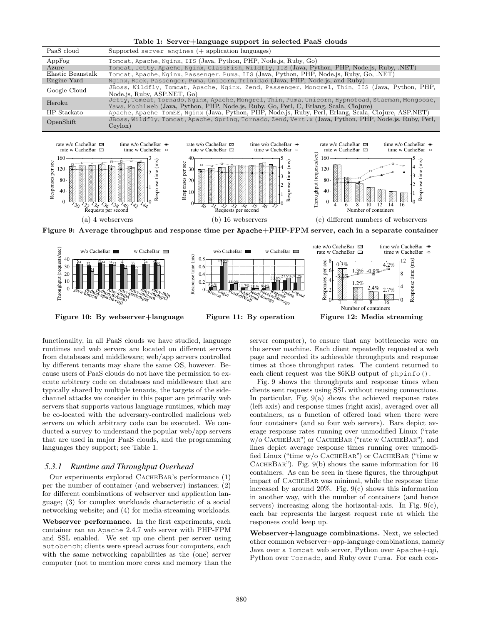| PaaS cloud        | Supported server engines $(+)$ application languages)                                                  |
|-------------------|--------------------------------------------------------------------------------------------------------|
| AppFog            | Tomcat, Apache, Nginx, IIS (Java, Python, PHP, Node.js, Ruby, Go)                                      |
| Azure             | Tomcat, Jetty, Apache, Nginx, GlassFish, Wildfly, IIS (Java, Python, PHP, Node.js, Ruby, .NET)         |
| Elastic Beanstalk | Tomcat, Apache, Nginx, Passenger, Puma, IIS (Java, Python, PHP, Node.js, Ruby, Go, .NET)               |
| Engine Yard       | Nginx, Rack, Passenger, Puma, Unicorn, Trinidad (Java, PHP, Node.js, and Ruby)                         |
| Google Cloud      | JBoss, Wildfly, Tomcat, Apache, Nginx, Zend, Passenger, Mongrel, Thin, IIS (Java, Python, PHP,         |
|                   | Node.js, Ruby, ASP.NET, Go)                                                                            |
| Heroku            | Jetty, Tomcat, Tornado, Nginx, Apache, Mongrel, Thin, Puma, Unicorn, Hypnotoad, Starman, Mongoose,     |
|                   | Yaws, Mochiweb (Java, Python, PHP, Node.js, Ruby, Go, Perl, C, Erlang, Scala, Clojure)                 |
| HP Stackato       | Apache, Apache TomEE, Nginx (Java, Python, PHP, Node.js, Ruby, Perl, Erlang, Scala, Clojure, ASP.NET)  |
| OpenShift         | JBoss, Wildfly, Tomcat, Apache, Spring, Tornado, Zend, Vert.x (Java, Python, PHP, Node.js, Ruby, Perl, |
|                   | Ceylon)                                                                                                |

Table 1: Server+language support in selected PaaS clouds



Figure 9: Average throughput and response time per **Apache**+PHP-FPM server, each in a separate container



functionality, in all PaaS clouds we have studied, language runtimes and web servers are located on different servers from databases and middleware; web/app servers controlled by different tenants may share the same OS, however. Because users of PaaS clouds do not have the permission to execute arbitrary code on databases and middleware that are typically shared by multiple tenants, the targets of the sidechannel attacks we consider in this paper are primarily web servers that supports various language runtimes, which may be co-located with the adversary-controlled malicious web servers on which arbitrary code can be executed. We conducted a survey to understand the popular web/app servers that are used in major PaaS clouds, and the programming languages they support; see Table 1.

#### *5.3.1 Runtime and Throughput Overhead*

Our experiments explored CACHEBAR's performance (1) per the number of container (and webserver) instances; (2) for different combinations of webserver and application language; (3) for complex workloads characteristic of a social networking website; and (4) for media-streaming workloads.

Webserver performance. In the first experiments, each container ran an Apache 2.4.7 web server with PHP-FPM and SSL enabled. We set up one client per server using autobench; clients were spread across four computers, each with the same networking capabilities as the (one) server computer (not to mention more cores and memory than the

server computer), to ensure that any bottlenecks were on the server machine. Each client repeatedly requested a web page and recorded its achievable throughputs and response times at those throughput rates. The content returned to each client request was the 86KB output of phpinfo().

Fig. 9 shows the throughputs and response times when clients sent requests using SSL without reusing connections. In particular, Fig. 9(a) shows the achieved response rates (left axis) and response times (right axis), averaged over all containers, as a function of offered load when there were four containers (and so four web servers). Bars depict average response rates running over unmodified Linux ("rate w/o CacheBar") or CacheBar ("rate w CacheBar"), and lines depict average response times running over unmodified Linux ("time w/o CacheBar") or CacheBar ("time w CACHEBAR"). Fig.  $9(b)$  shows the same information for 16 containers. As can be seen in these figures, the throughput impact of CacheBar was minimal, while the response time increased by around  $20\%$ . Fig.  $9(c)$  shows this information in another way, with the number of containers (and hence servers) increasing along the horizontal-axis. In Fig.  $9(c)$ , each bar represents the largest request rate at which the responses could keep up.

Webserver+language combinations. Next, we selected other common webserver+app-language combinations, namely Java over a Tomcat web server, Python over Apache+cgi, Python over Tornado, and Ruby over Puma. For each con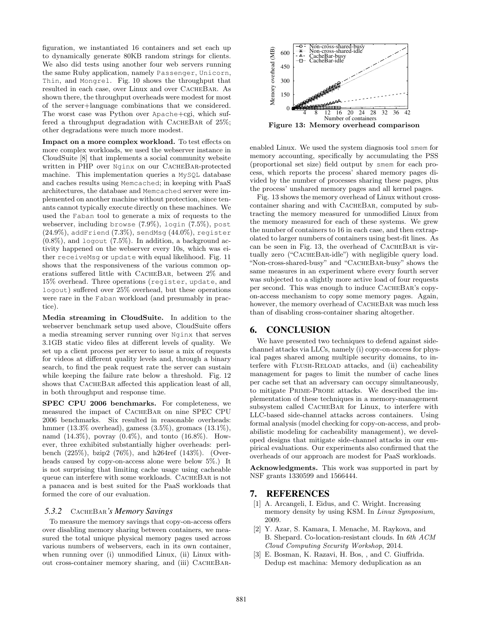figuration, we instantiated 16 containers and set each up to dynamically generate 80KB random strings for clients. We also did tests using another four web servers running the same Ruby application, namely Passenger, Unicorn, Thin, and Mongrel. Fig. 10 shows the throughput that resulted in each case, over Linux and over CacheBar. As shown there, the throughput overheads were modest for most of the server+language combinations that we considered. The worst case was Python over Apache+cgi, which suffered a throughput degradation with CACHEBAR of 25%; other degradations were much more modest.

Impact on a more complex workload. To test effects on more complex workloads, we used the webserver instance in CloudSuite [8] that implements a social community website written in PHP over Nginx on our CACHEBAR-protected machine. This implementation queries a MySQL database and caches results using Memcached; in keeping with PaaS architectures, the database and Memcached server were implemented on another machine without protection, since tenants cannot typically execute directly on these machines. We used the Faban tool to generate a mix of requests to the webserver, including browse (7.9%), login (7.5%), post  $(24.9\%)$ , addFriend  $(7.3\%)$ , sendMsg  $(44.0\%)$ , register  $(0.8\%)$ , and logout  $(7.5\%)$ . In addition, a background activity happened on the webserver every 10s, which was either receiveMsg or update with equal likelihood. Fig. 11 shows that the responsiveness of the various common operations suffered little with CacheBar, between 2% and 15% overhead. Three operations (register, update, and logout) suffered over 25% overhead, but these operations were rare in the Faban workload (and presumably in practice).

Media streaming in CloudSuite. In addition to the webserver benchmark setup used above, CloudSuite offers a media streaming server running over Nginx that serves 3.1GB static video files at different levels of quality. We set up a client process per server to issue a mix of requests for videos at different quality levels and, through a binary search, to find the peak request rate the server can sustain while keeping the failure rate below a threshold. Fig. 12 shows that CACHEBAR affected this application least of all, in both throughput and response time.

SPEC CPU 2006 benchmarks. For completeness, we measured the impact of CacheBar on nine SPEC CPU 2006 benchmarks. Six resulted in reasonable overheads: hmmer (13.3% overhead), gamess (3.5%), gromacs (13.1%), namd  $(14.3\%)$ , povray  $(0.4\%)$ , and tonto  $(16.8\%)$ . However, three exhibited substantially higher overheads: perlbench (225%), bzip2 (76%), and h264ref (143%). (Overheads caused by copy-on-access alone were below 5%.) It is not surprising that limiting cache usage using cacheable queue can interfere with some workloads. CacheBar is not a panacea and is best suited for the PaaS workloads that formed the core of our evaluation.

#### *5.3.2* CacheBar*'s Memory Savings*

To measure the memory savings that copy-on-access offers over disabling memory sharing between containers, we measured the total unique physical memory pages used across various numbers of webservers, each in its own container, when running over (i) unmodified Linux, (ii) Linux without cross-container memory sharing, and (iii) CACHEBAR-



enabled Linux. We used the system diagnosis tool smem for

memory accounting, specifically by accumulating the PSS (proportional set size) field output by smem for each process, which reports the process' shared memory pages divided by the number of processes sharing these pages, plus the process' unshared memory pages and all kernel pages.

Fig. 13 shows the memory overhead of Linux without crosscontainer sharing and with CACHEBAR, computed by subtracting the memory measured for unmodified Linux from the memory measured for each of these systems. We grew the number of containers to 16 in each case, and then extrapolated to larger numbers of containers using best-fit lines. As can be seen in Fig. 13, the overhead of CACHEBAR is virtually zero ("CACHEBAR-idle") with negligible query load. "Non-cross-shared-busy" and "CacheBar-busy" shows the same measures in an experiment where every fourth server was subjected to a slightly more active load of four requests per second. This was enough to induce CACHEBAR's copyon-access mechanism to copy some memory pages. Again, however, the memory overhead of CACHEBAR was much less than of disabling cross-container sharing altogether.

# 6. CONCLUSION

We have presented two techniques to defend against sidechannel attacks via LLCs, namely (i) copy-on-access for physical pages shared among multiple security domains, to interfere with Flush-Reload attacks, and (ii) cacheability management for pages to limit the number of cache lines per cache set that an adversary can occupy simultaneously, to mitigate Prime-Probe attacks. We described the implementation of these techniques in a memory-management subsystem called CACHEBAR for Linux, to interfere with LLC-based side-channel attacks across containers. Using formal analysis (model checking for copy-on-access, and probabilistic modeling for cacheability management), we developed designs that mitigate side-channel attacks in our empirical evaluations. Our experiments also confirmed that the overheads of our approach are modest for PaaS workloads.

Acknowledgments. This work was supported in part by NSF grants 1330599 and 1566444.

## 7. REFERENCES

- [1] A. Arcangeli, I. Eidus, and C. Wright. Increasing memory density by using KSM. In *Linux Symposium*, 2009.
- [2] Y. Azar, S. Kamara, I. Menache, M. Raykova, and B. Shepard. Co-location-resistant clouds. In 6th ACM Cloud Computing Security Workshop, 2014.
- [3] E. Bosman, K. Razavi, H. Bos, , and C. Giuffrida. Dedup est machina: Memory deduplication as an